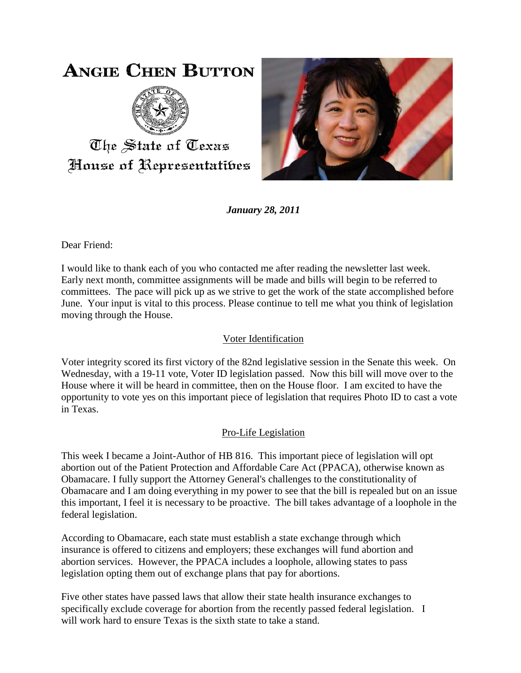# **ANGIE CHEN BUTTON**



The State of Texas House of Representatibes



*January 28, 2011*

Dear Friend:

I would like to thank each of you who contacted me after reading the newsletter last week. Early next month, committee assignments will be made and bills will begin to be referred to committees. The pace will pick up as we strive to get the work of the state accomplished before June. Your input is vital to this process. Please continue to tell me what you think of legislation moving through the House.

## Voter Identification

Voter integrity scored its first victory of the 82nd legislative session in the Senate this week. On Wednesday, with a 19-11 vote, Voter ID legislation passed. Now this bill will move over to the House where it will be heard in committee, then on the House floor. I am excited to have the opportunity to vote yes on this important piece of legislation that requires Photo ID to cast a vote in Texas.

## Pro-Life Legislation

This week I became a Joint-Author of HB 816. This important piece of legislation will opt abortion out of the Patient Protection and Affordable Care Act (PPACA), otherwise known as Obamacare. I fully support the Attorney General's challenges to the constitutionality of Obamacare and I am doing everything in my power to see that the bill is repealed but on an issue this important, I feel it is necessary to be proactive. The bill takes advantage of a loophole in the federal legislation.

According to Obamacare, each state must establish a state exchange through which insurance is offered to citizens and employers; these exchanges will fund abortion and abortion services. However, the PPACA includes a loophole, allowing states to pass legislation opting them out of exchange plans that pay for abortions.

Five other states have passed laws that allow their state health insurance exchanges to specifically exclude coverage for abortion from the recently passed federal legislation. I will work hard to ensure Texas is the sixth state to take a stand.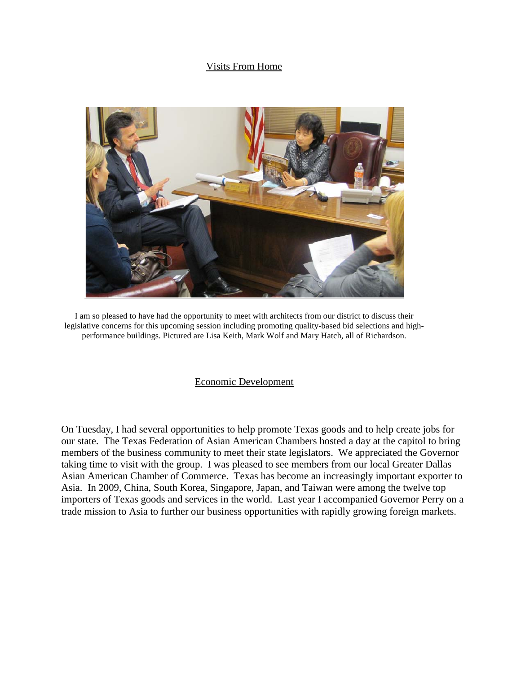#### Visits From Home



I am so pleased to have had the opportunity to meet with architects from our district to discuss their legislative concerns for this upcoming session including promoting quality-based bid selections and highperformance buildings. Pictured are Lisa Keith, Mark Wolf and Mary Hatch, all of Richardson.

#### Economic Development

On Tuesday, I had several opportunities to help promote Texas goods and to help create jobs for our state. The Texas Federation of Asian American Chambers hosted a day at the capitol to bring members of the business community to meet their state legislators. We appreciated the Governor taking time to visit with the group. I was pleased to see members from our local Greater Dallas Asian American Chamber of Commerce. Texas has become an increasingly important exporter to Asia. In 2009, China, South Korea, Singapore, Japan, and Taiwan were among the twelve top importers of Texas goods and services in the world. Last year I accompanied Governor Perry on a trade mission to Asia to further our business opportunities with rapidly growing foreign markets.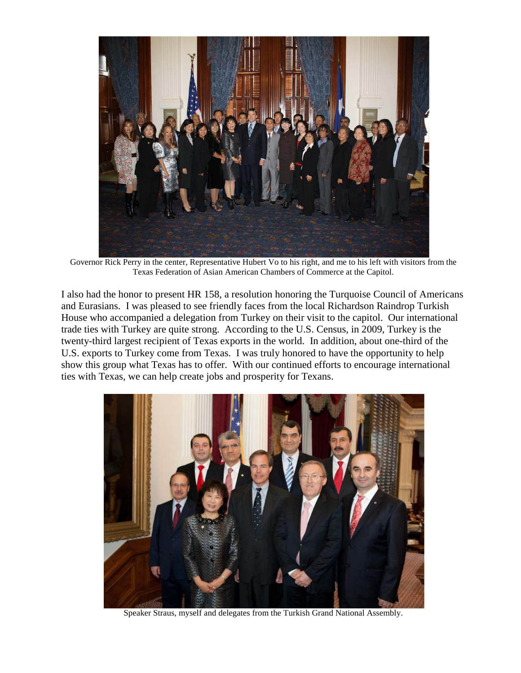

Governor Rick Perry in the center, Representative Hubert Vo to his right, and me to his left with visitors from the Texas Federation of Asian American Chambers of Commerce at the Capitol.

I also had the honor to present HR 158, a resolution honoring the Turquoise Council of Americans and Eurasians. I was pleased to see friendly faces from the local Richardson Raindrop Turkish House who accompanied a delegation from Turkey on their visit to the capitol. Our international trade ties with Turkey are quite strong. According to the U.S. Census, in 2009, Turkey is the twenty-third largest recipient of Texas exports in the world. In addition, about one-third of the U.S. exports to Turkey come from Texas. I was truly honored to have the opportunity to help show this group what Texas has to offer. With our continued efforts to encourage international ties with Texas, we can help create jobs and prosperity for Texans.



Speaker Straus, myself and delegates from the Turkish Grand National Assembly.